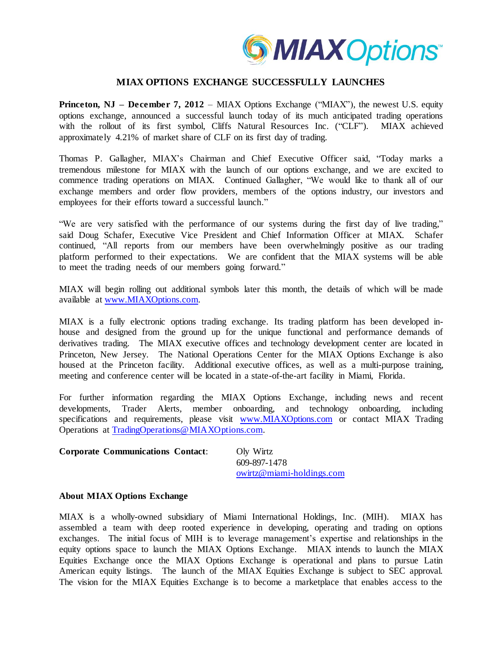

## **MIAX OPTIONS EXCHANGE SUCCESSFULLY LAUNCHES**

**Princeton, NJ – December 7, 2012 – MIAX Options Exchange ("MIAX"), the newest U.S. equity** options exchange, announced a successful launch today of its much anticipated trading operations with the rollout of its first symbol, Cliffs Natural Resources Inc. ("CLF"). MIAX achieved approximately 4.21% of market share of CLF on its first day of trading.

Thomas P. Gallagher, MIAX's Chairman and Chief Executive Officer said, "Today marks a tremendous milestone for MIAX with the launch of our options exchange, and we are excited to commence trading operations on MIAX. Continued Gallagher, "We would like to thank all of our exchange members and order flow providers, members of the options industry, our investors and employees for their efforts toward a successful launch."

"We are very satisfied with the performance of our systems during the first day of live trading," said Doug Schafer, Executive Vice President and Chief Information Officer at MIAX. Schafer continued, "All reports from our members have been overwhelmingly positive as our trading platform performed to their expectations. We are confident that the MIAX systems will be able to meet the trading needs of our members going forward."

MIAX will begin rolling out additional symbols later this month, the details of which will be made available at [www.MIAXOptions.com.](http://www.miaxoptions.com/)

MIAX is a fully electronic options trading exchange. Its trading platform has been developed inhouse and designed from the ground up for the unique functional and performance demands of derivatives trading. The MIAX executive offices and technology development center are located in Princeton, New Jersey. The National Operations Center for the MIAX Options Exchange is also housed at the Princeton facility. Additional executive offices, as well as a multi-purpose training, meeting and conference center will be located in a state-of-the-art facility in Miami, Florida.

For further information regarding the MIAX Options Exchange, including news and recent developments, Trader Alerts, member onboarding, and technology onboarding, including specifications and requirements, please visit [www.MIAXOptions.com](http://www.miaxoptions.com/) or contact MIAX Trading Operations at [TradingOperations@MIAXOptions.com.](mailto:TradingOperations@MIAXOptions.com)

| <b>Corporate Communications Contact:</b> | Oly Wirtz                 |
|------------------------------------------|---------------------------|
|                                          | 609-897-1478              |
|                                          | owirtz@miami-holdings.com |

## **About MIAX Options Exchange**

MIAX is a wholly-owned subsidiary of Miami International Holdings, Inc. (MIH). MIAX has assembled a team with deep rooted experience in developing, operating and trading on options exchanges. The initial focus of MIH is to leverage management's expertise and relationships in the equity options space to launch the MIAX Options Exchange. MIAX intends to launch the MIAX Equities Exchange once the MIAX Options Exchange is operational and plans to pursue Latin American equity listings. The launch of the MIAX Equities Exchange is subject to SEC approval. The vision for the MIAX Equities Exchange is to become a marketplace that enables access to the